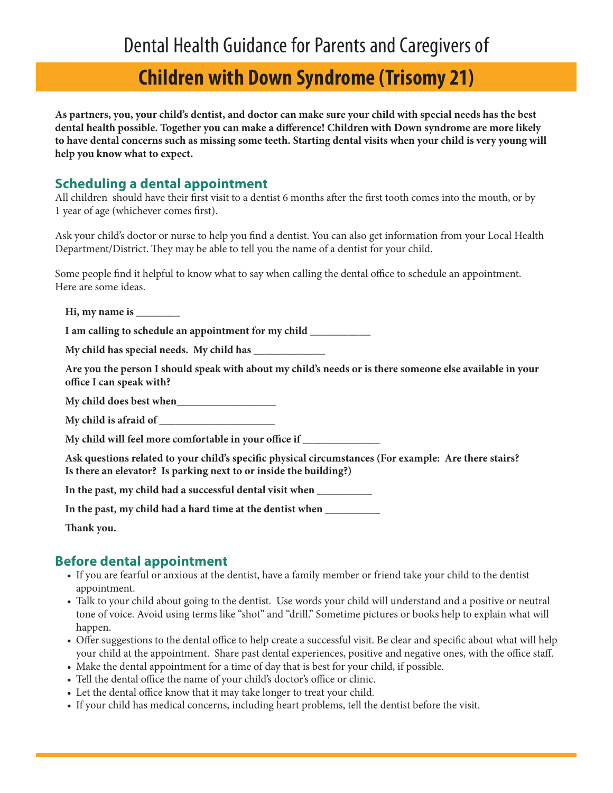# **Children with Down Syndrome (Trisomy 21)**

**As partners, you, your child's dentist, and doctor can make sure your child with special needs has the best dental health possible. Together you can make a difference! Children with Down syndrome are more likely to have dental concerns such as missing some teeth. Starting dental visits when your child is very young will help you know what to expect.**

#### **Scheduling a dental appointment**

All children should have their first visit to a dentist 6 months after the first tooth comes into the mouth, or by 1 year of age (whichever comes first).

Ask your child's doctor or nurse to help you find a dentist. You can also get information from your Local Health Department/District. They may be able to tell you the name of a dentist for your child.

Some people find it helpful to know what to say when calling the dental office to schedule an appointment. Here are some ideas.

**Hi, my name is \_\_\_\_\_\_\_\_**

**I am calling to schedule an appointment for my child \_\_\_\_\_\_\_\_\_\_\_**

**My child has special needs. My child has \_\_\_\_\_\_\_\_\_\_\_\_\_**

**Are you the person I should speak with about my child's needs or is there someone else available in your office I can speak with?**

**My child does best when\_\_\_\_\_\_\_\_\_\_\_\_\_\_\_\_\_\_**

**My child is afraid of \_\_\_\_\_\_\_\_\_\_\_\_\_\_\_\_\_\_\_\_\_**

**My child will feel more comfortable in your office if \_\_\_\_\_\_\_\_\_\_\_\_\_\_**

**Ask questions related to your child's specific physical circumstances (For example: Are there stairs? Is there an elevator? Is parking next to or inside the building?)**

**In the past, my child had a successful dental visit when \_\_\_\_\_\_\_\_\_\_**

**In the past, my child had a hard time at the dentist when \_\_\_\_\_\_\_\_\_\_**

**Thank you.** 

### **Before dental appointment**

- If you are fearful or anxious at the dentist, have a family member or friend take your child to the dentist appointment.
- Talk to your child about going to the dentist. Use words your child will understand and a positive or neutral tone of voice. Avoid using terms like "shot" and "drill." Sometime pictures or books help to explain what will happen.
- Offer suggestions to the dental office to help create a successful visit. Be clear and specific about what will help your child at the appointment. Share past dental experiences, positive and negative ones, with the office staff.
- Make the dental appointment for a time of day that is best for your child, if possible.
- Tell the dental office the name of your child's doctor's office or clinic.
- Let the dental office know that it may take longer to treat your child.
- If your child has medical concerns, including heart problems, tell the dentist before the visit.